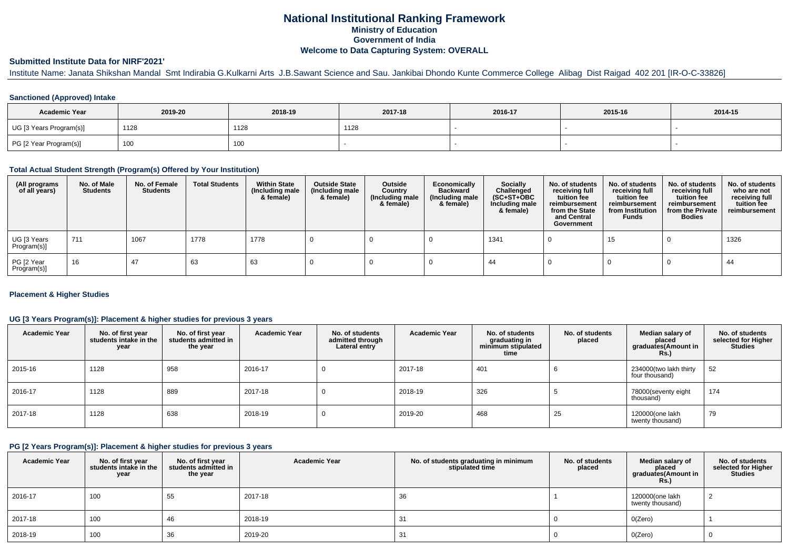## **National Institutional Ranking FrameworkMinistry of Education Government of IndiaWelcome to Data Capturing System: OVERALL**

#### **Submitted Institute Data for NIRF'2021'**

Institute Name: Janata Shikshan Mandal Smt Indirabia G.Kulkarni Arts J.B.Sawant Science and Sau. Jankibai Dhondo Kunte Commerce College Alibag Dist Raigad 402 201 [IR-O-C-33826]

### **Sanctioned (Approved) Intake**

| <b>Academic Year</b>    | 2019-20 | 2018-19 | 2017-18 | 2016-17 | 2015-16 | 2014-15 |
|-------------------------|---------|---------|---------|---------|---------|---------|
| UG [3 Years Program(s)] | 1128    | 1128    | 1128    |         |         |         |
| PG [2 Year Program(s)]  | 100     | 100     |         |         |         |         |

#### **Total Actual Student Strength (Program(s) Offered by Your Institution)**

| (All programs<br>of all years) | No. of Male<br><b>Students</b> | No. of Female<br>Students | <b>Total Students</b> | <b>Within State</b><br>(Including male<br>& female) | <b>Outside State</b><br>(Including male<br>& female) | Outside<br>Country<br>(Including male<br>& female) | Economically<br><b>Backward</b><br>(Including male<br>& female) | <b>Socially</b><br>Challenged<br>$(SC+ST+OBC)$<br>Including male<br>& female) | No. of students<br>receiving full<br>tuition fee<br>reimbursement<br>from the State<br>and Central<br>Government | No. of students<br>receiving full<br>tuition fee<br>reimbursement<br>from Institution<br><b>Funds</b> | No. of students<br>receiving full<br>tuition fee<br>reimbursement<br>from the Private<br><b>Bodies</b> | No. of students<br>who are not<br>receiving full<br>tuition fee<br>reimbursement |
|--------------------------------|--------------------------------|---------------------------|-----------------------|-----------------------------------------------------|------------------------------------------------------|----------------------------------------------------|-----------------------------------------------------------------|-------------------------------------------------------------------------------|------------------------------------------------------------------------------------------------------------------|-------------------------------------------------------------------------------------------------------|--------------------------------------------------------------------------------------------------------|----------------------------------------------------------------------------------|
| UG [3 Years<br>Program(s)]     | 711                            | 1067                      | 1778                  | 1778                                                |                                                      |                                                    |                                                                 | 1341                                                                          |                                                                                                                  | 15                                                                                                    |                                                                                                        | 1326                                                                             |
| PG [2 Year<br>Program(s)]      | 16                             | 47                        | 63                    | 63                                                  |                                                      |                                                    |                                                                 | -44                                                                           |                                                                                                                  |                                                                                                       |                                                                                                        | 44                                                                               |

### **Placement & Higher Studies**

### **UG [3 Years Program(s)]: Placement & higher studies for previous 3 years**

| <b>Academic Year</b> | No. of first year<br>students intake in the<br>year | No. of first year<br>students admitted in<br>the year | <b>Academic Year</b> | No. of students<br>admitted through<br>Lateral entry | <b>Academic Year</b> | No. of students<br>graduating in<br>minimum stipulated<br>time | No. of students<br>placed | Median salary of<br>placed<br>graduates(Amount in<br>Rs.) | No. of students<br>selected for Higher<br><b>Studies</b> |
|----------------------|-----------------------------------------------------|-------------------------------------------------------|----------------------|------------------------------------------------------|----------------------|----------------------------------------------------------------|---------------------------|-----------------------------------------------------------|----------------------------------------------------------|
| 2015-16              | 1128                                                | 958                                                   | 2016-17              |                                                      | 2017-18              | 401                                                            |                           | 234000(two lakh thirty<br>four thousand)                  | 52                                                       |
| 2016-17              | 1128                                                | 889                                                   | 2017-18              |                                                      | 2018-19              | 326                                                            |                           | 78000(seventy eight<br>thousand)                          | 174                                                      |
| 2017-18              | 1128                                                | 638                                                   | 2018-19              |                                                      | 2019-20              | 468                                                            | 25                        | 120000(one lakh<br>twenty thousand)                       | 79                                                       |

#### **PG [2 Years Program(s)]: Placement & higher studies for previous 3 years**

| <b>Academic Year</b> | No. of first year<br>students intake in the<br>year | No. of first vear<br>students admitted in<br>the year | <b>Academic Year</b> | No. of students graduating in minimum<br>stipulated time | No. of students<br>placed | Median salary of<br>placed<br>graduates(Amount in<br><b>Rs.)</b> | No. of students<br>selected for Higher<br><b>Studies</b> |
|----------------------|-----------------------------------------------------|-------------------------------------------------------|----------------------|----------------------------------------------------------|---------------------------|------------------------------------------------------------------|----------------------------------------------------------|
| 2016-17              | 100                                                 | 55                                                    | 2017-18              | 36                                                       |                           | 120000(one lakh<br>twenty thousand)                              |                                                          |
| 2017-18              | 100                                                 | 46                                                    | 2018-19              | 31                                                       |                           | O(Zero)                                                          |                                                          |
| 2018-19              | 100                                                 | 36                                                    | 2019-20              | 31                                                       |                           | O(Zero)                                                          |                                                          |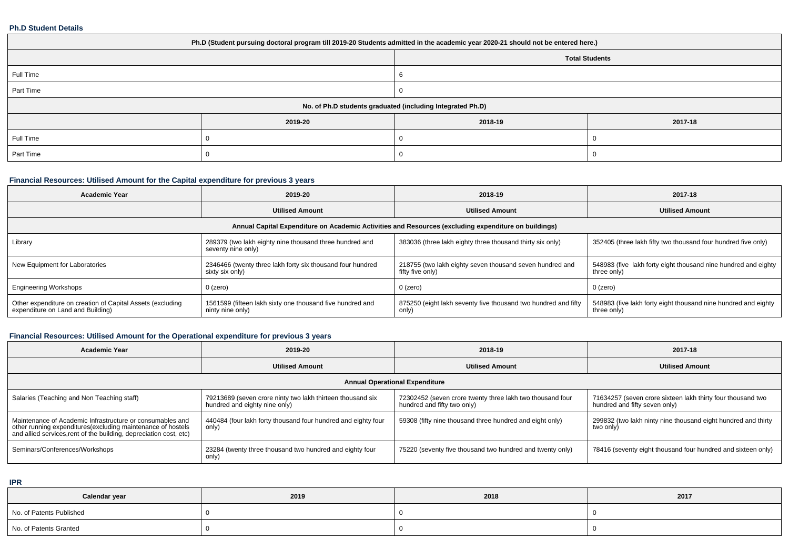### **Ph.D Student Details**

| Ph.D (Student pursuing doctoral program till 2019-20 Students admitted in the academic year 2020-21 should not be entered here.) |         |                       |         |  |  |
|----------------------------------------------------------------------------------------------------------------------------------|---------|-----------------------|---------|--|--|
|                                                                                                                                  |         | <b>Total Students</b> |         |  |  |
| Full Time                                                                                                                        |         |                       |         |  |  |
| Part Time                                                                                                                        |         |                       |         |  |  |
| No. of Ph.D students graduated (including Integrated Ph.D)                                                                       |         |                       |         |  |  |
|                                                                                                                                  | 2019-20 | 2018-19               | 2017-18 |  |  |
| Full Time                                                                                                                        |         |                       |         |  |  |
| Part Time                                                                                                                        |         |                       |         |  |  |

## **Financial Resources: Utilised Amount for the Capital expenditure for previous 3 years**

| <b>Academic Year</b>                                                                                 | 2019-20                                                                       | 2018-19                                                                      | 2017-18                                                                       |  |  |  |
|------------------------------------------------------------------------------------------------------|-------------------------------------------------------------------------------|------------------------------------------------------------------------------|-------------------------------------------------------------------------------|--|--|--|
|                                                                                                      | <b>Utilised Amount</b>                                                        | <b>Utilised Amount</b>                                                       | <b>Utilised Amount</b>                                                        |  |  |  |
| Annual Capital Expenditure on Academic Activities and Resources (excluding expenditure on buildings) |                                                                               |                                                                              |                                                                               |  |  |  |
| Library                                                                                              | 289379 (two lakh eighty nine thousand three hundred and<br>seventy nine only) | 383036 (three lakh eighty three thousand thirty six only)                    | 352405 (three lakh fifty two thousand four hundred five only)                 |  |  |  |
| New Equipment for Laboratories                                                                       | 2346466 (twenty three lakh forty six thousand four hundred<br>sixty six only) | 218755 (two lakh eighty seven thousand seven hundred and<br>fifty five only) | 548983 (five lakh forty eight thousand nine hundred and eighty<br>three only) |  |  |  |
| <b>Engineering Workshops</b>                                                                         | $0$ (zero)                                                                    | 0 (zero)                                                                     | 0 (zero)                                                                      |  |  |  |
| Other expenditure on creation of Capital Assets (excluding<br>expenditure on Land and Building)      | 1561599 (fifteen lakh sixty one thousand five hundred and<br>ninty nine only) | 875250 (eight lakh seventy five thousand two hundred and fifty<br>only)      | 548983 (five lakh forty eight thousand nine hundred and eighty<br>three only) |  |  |  |

## **Financial Resources: Utilised Amount for the Operational expenditure for previous 3 years**

| <b>Academic Year</b>                                                                                                                                                                            | 2019-20                                                                                     | 2018-19                                                                                  | 2017-18                                                                                      |  |  |  |
|-------------------------------------------------------------------------------------------------------------------------------------------------------------------------------------------------|---------------------------------------------------------------------------------------------|------------------------------------------------------------------------------------------|----------------------------------------------------------------------------------------------|--|--|--|
|                                                                                                                                                                                                 | <b>Utilised Amount</b>                                                                      | <b>Utilised Amount</b>                                                                   | <b>Utilised Amount</b>                                                                       |  |  |  |
| <b>Annual Operational Expenditure</b>                                                                                                                                                           |                                                                                             |                                                                                          |                                                                                              |  |  |  |
| Salaries (Teaching and Non Teaching staff)                                                                                                                                                      | 79213689 (seven crore ninty two lakh thirteen thousand six<br>hundred and eighty nine only) | 72302452 (seven crore twenty three lakh two thousand four<br>hundred and fifty two only) | 71634257 (seven crore sixteen lakh thirty four thousand two<br>hundred and fifty seven only) |  |  |  |
| Maintenance of Academic Infrastructure or consumables and<br>other running expenditures (excluding maintenance of hostels<br>and allied services, rent of the building, depreciation cost, etc) | 440484 (four lakh forty thousand four hundred and eighty four<br>only)                      | 59308 (fifty nine thousand three hundred and eight only)                                 | 299832 (two lakh ninty nine thousand eight hundred and thirty<br>two only)                   |  |  |  |
| Seminars/Conferences/Workshops                                                                                                                                                                  | 23284 (twenty three thousand two hundred and eighty four<br>only)                           | 75220 (seventy five thousand two hundred and twenty only)                                | 78416 (seventy eight thousand four hundred and sixteen only)                                 |  |  |  |

**IPR**

| Calendar year            | 2019 | 2018 | 2017 |
|--------------------------|------|------|------|
| No. of Patents Published |      |      |      |
| No. of Patents Granted   |      |      |      |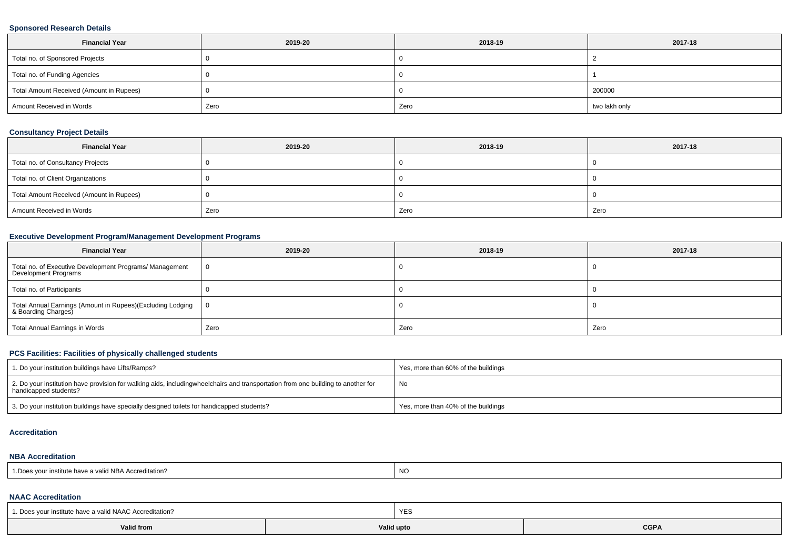### **Sponsored Research Details**

| <b>Financial Year</b>                    | 2019-20 | 2018-19 | 2017-18       |
|------------------------------------------|---------|---------|---------------|
| Total no. of Sponsored Projects          |         |         |               |
| Total no. of Funding Agencies            |         |         |               |
| Total Amount Received (Amount in Rupees) |         |         | 200000        |
| Amount Received in Words                 | Zero    | Zero    | two lakh only |

# **Consultancy Project Details**

| <b>Financial Year</b>                    | 2019-20 | 2018-19 | 2017-18 |
|------------------------------------------|---------|---------|---------|
| Total no. of Consultancy Projects        |         |         |         |
| Total no. of Client Organizations        |         |         |         |
| Total Amount Received (Amount in Rupees) |         |         |         |
| Amount Received in Words                 | Zero    | Zero    | Zero    |

## **Executive Development Program/Management Development Programs**

| <b>Financial Year</b>                                                             | 2019-20  | 2018-19 | 2017-18 |
|-----------------------------------------------------------------------------------|----------|---------|---------|
| Total no. of Executive Development Programs/ Management<br>Development Programs   | <b>O</b> |         |         |
| Total no. of Participants                                                         |          |         |         |
| Total Annual Earnings (Amount in Rupees)(Excluding Lodging<br>& Boarding Charges) | ∣ O      |         |         |
| Total Annual Earnings in Words                                                    | Zero     | Zero    | Zero    |

## **PCS Facilities: Facilities of physically challenged students**

| 1. Do your institution buildings have Lifts/Ramps?                                                                                                        | I Yes, more than 60% of the buildings |
|-----------------------------------------------------------------------------------------------------------------------------------------------------------|---------------------------------------|
| 2. Do your institution have provision for walking aids, includingwheelchairs and transportation from one building to another for<br>handicapped students? | No                                    |
| 3. Do your institution buildings have specially designed toilets for handicapped students?                                                                | Yes, more than 40% of the buildings   |

#### **Accreditation**

#### **NBA Accreditation**

| r institute have a valid NBA Accreditation?<br><sup>1</sup> Does your in. | <b>NO</b> |
|---------------------------------------------------------------------------|-----------|
|---------------------------------------------------------------------------|-----------|

## **NAAC Accreditation**

| 1. Does vour institute have a valid NAAC Accreditation? |            | <b>YES</b> |             |  |  |  |
|---------------------------------------------------------|------------|------------|-------------|--|--|--|
| Valid from                                              | Valid upto |            | <b>CGPA</b> |  |  |  |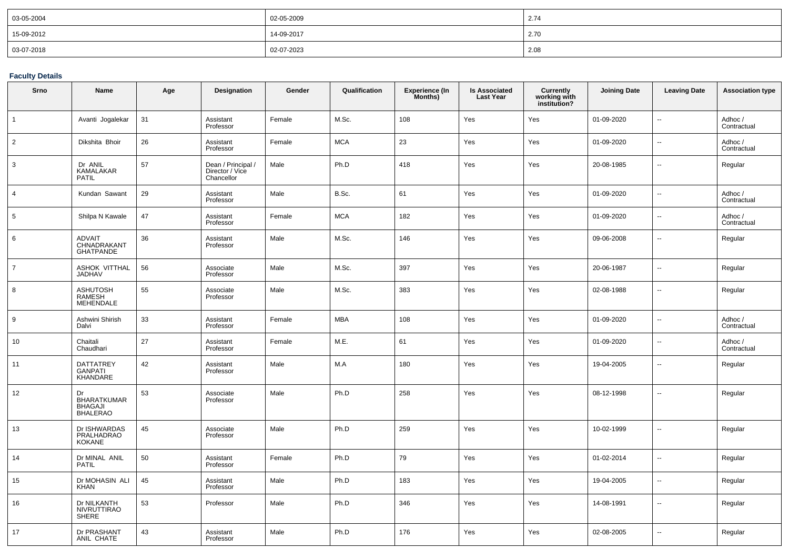| 03-05-2004 | 02-05-2009 | 2.74 |
|------------|------------|------|
| 15-09-2012 | 14-09-2017 | 2.70 |
| 03-07-2018 | 02-07-2023 | 2.08 |

### **Faculty Details**

| Srno            | Name                                                          | Age | Designation                                         | Gender | Qualification | <b>Experience (In</b><br>Months) | <b>Is Associated</b><br><b>Last Year</b> | <b>Currently</b><br>working with<br>institution? | <b>Joining Date</b> | <b>Leaving Date</b>      | <b>Association type</b> |
|-----------------|---------------------------------------------------------------|-----|-----------------------------------------------------|--------|---------------|----------------------------------|------------------------------------------|--------------------------------------------------|---------------------|--------------------------|-------------------------|
| $\overline{1}$  | Avanti Jogalekar                                              | 31  | Assistant<br>Professor                              | Female | M.Sc.         | 108                              | Yes                                      | Yes                                              | 01-09-2020          | $\sim$                   | Adhoc /<br>Contractual  |
| $\overline{2}$  | Dikshita Bhoir                                                | 26  | Assistant<br>Professor                              | Female | <b>MCA</b>    | 23                               | Yes                                      | Yes                                              | 01-09-2020          | $\sim$                   | Adhoc /<br>Contractual  |
| 3               | Dr ANIL<br>KAMALAKAR<br><b>PATIL</b>                          | 57  | Dean / Principal /<br>Director / Vice<br>Chancellor | Male   | Ph.D          | 418                              | Yes                                      | Yes                                              | 20-08-1985          | $\sim$                   | Regular                 |
| $\overline{4}$  | Kundan Sawant                                                 | 29  | Assistant<br>Professor                              | Male   | B.Sc.         | 61                               | Yes                                      | Yes                                              | 01-09-2020          | $\sim$                   | Adhoc /<br>Contractual  |
| $5\phantom{.0}$ | Shilpa N Kawale                                               | 47  | Assistant<br>Professor                              | Female | <b>MCA</b>    | 182                              | Yes                                      | Yes                                              | 01-09-2020          | $\sim$                   | Adhoc /<br>Contractual  |
| 6               | <b>ADVAIT</b><br>CHNADRAKANT<br><b>GHATPANDE</b>              | 36  | Assistant<br>Professor                              | Male   | M.Sc.         | 146                              | Yes                                      | Yes                                              | 09-06-2008          | $\sim$                   | Regular                 |
| $\overline{7}$  | ASHOK VITTHAL<br><b>JADHAV</b>                                | 56  | Associate<br>Professor                              | Male   | M.Sc.         | 397                              | Yes                                      | Yes                                              | 20-06-1987          | $\sim$                   | Regular                 |
| 8               | <b>ASHUTOSH</b><br>RAMESH<br>MEHENDALE                        | 55  | Associate<br>Professor                              | Male   | M.Sc.         | 383                              | Yes                                      | Yes                                              | 02-08-1988          | $\sim$                   | Regular                 |
| 9               | Ashwini Shirish<br>Dalvi                                      | 33  | Assistant<br>Professor                              | Female | <b>MBA</b>    | 108                              | Yes                                      | Yes                                              | 01-09-2020          | $\sim$                   | Adhoc /<br>Contractual  |
| 10              | Chaitali<br>Chaudhari                                         | 27  | Assistant<br>Professor                              | Female | M.E.          | 61                               | Yes                                      | Yes                                              | 01-09-2020          | $\sim$                   | Adhoc /<br>Contractual  |
| 11              | DATTATREY<br><b>GANPATI</b><br>KHANDARE                       | 42  | Assistant<br>Professor                              | Male   | M.A           | 180                              | Yes                                      | Yes                                              | 19-04-2005          | $\sim$                   | Regular                 |
| 12              | Dr<br><b>BHARATKUMAR</b><br><b>BHAGAJI</b><br><b>BHALERAO</b> | 53  | Associate<br>Professor                              | Male   | Ph.D          | 258                              | Yes                                      | Yes                                              | 08-12-1998          | $\overline{\phantom{a}}$ | Regular                 |
| 13              | Dr ISHWARDAS<br>PRALHADRAO<br>KOKANE                          | 45  | Associate<br>Professor                              | Male   | Ph.D          | 259                              | Yes                                      | Yes                                              | 10-02-1999          | $\ddotsc$                | Regular                 |
| 14              | Dr MINAL ANIL<br><b>PATIL</b>                                 | 50  | Assistant<br>Professor                              | Female | Ph.D          | 79                               | Yes                                      | Yes                                              | 01-02-2014          | $\sim$                   | Regular                 |
| 15              | Dr MOHASIN ALI<br><b>KHAN</b>                                 | 45  | Assistant<br>Professor                              | Male   | Ph.D          | 183                              | Yes                                      | Yes                                              | 19-04-2005          | $\sim$                   | Regular                 |
| 16              | Dr NILKANTH<br>NIVRUTTIRAO<br><b>SHERE</b>                    | 53  | Professor                                           | Male   | Ph.D          | 346                              | Yes                                      | Yes                                              | 14-08-1991          | $\overline{\phantom{a}}$ | Regular                 |
| 17              | Dr PRASHANT<br>ANIL CHATE                                     | 43  | Assistant<br>Professor                              | Male   | Ph.D          | 176                              | Yes                                      | Yes                                              | 02-08-2005          | ц.                       | Regular                 |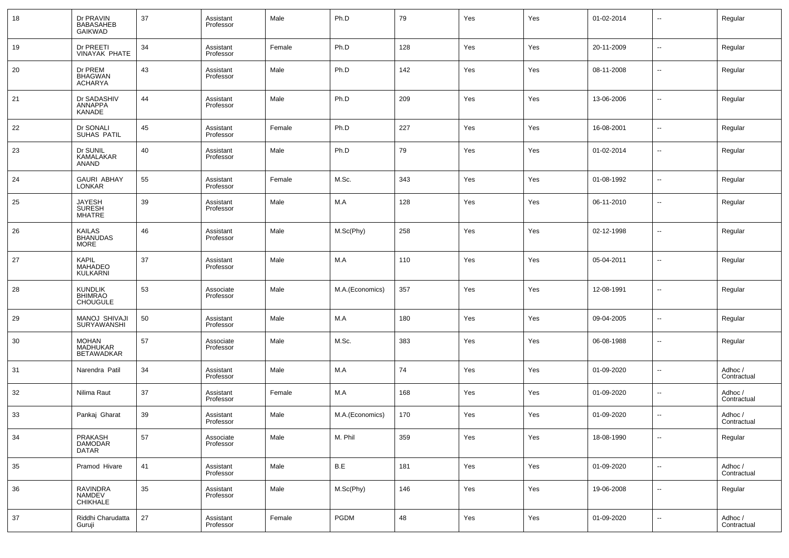| 18 | Dr PRAVIN<br><b>BABASAHEB</b><br><b>GAIKWAD</b>      | 37 | Assistant<br>Professor | Male   | Ph.D            | 79  | Yes | Yes | 01-02-2014 | $\overline{\phantom{a}}$ | Regular                |
|----|------------------------------------------------------|----|------------------------|--------|-----------------|-----|-----|-----|------------|--------------------------|------------------------|
| 19 | Dr PREETI<br><b>VINAYAK PHATE</b>                    | 34 | Assistant<br>Professor | Female | Ph.D            | 128 | Yes | Yes | 20-11-2009 | $\overline{\phantom{a}}$ | Regular                |
| 20 | Dr PREM<br><b>BHAGWAN</b><br><b>ACHARYA</b>          | 43 | Assistant<br>Professor | Male   | Ph.D            | 142 | Yes | Yes | 08-11-2008 | $\overline{\phantom{a}}$ | Regular                |
| 21 | Dr SADASHIV<br>ANNAPPA<br>KANADE                     | 44 | Assistant<br>Professor | Male   | Ph.D            | 209 | Yes | Yes | 13-06-2006 | $\overline{\phantom{a}}$ | Regular                |
| 22 | Dr SONALI<br>SUHAS PATIL                             | 45 | Assistant<br>Professor | Female | Ph.D            | 227 | Yes | Yes | 16-08-2001 | $\overline{\phantom{a}}$ | Regular                |
| 23 | Dr SUNIL<br>KAMALAKAR<br><b>ANAND</b>                | 40 | Assistant<br>Professor | Male   | Ph.D            | 79  | Yes | Yes | 01-02-2014 | $\overline{\phantom{a}}$ | Regular                |
| 24 | <b>GAURI ABHAY</b><br><b>LONKAR</b>                  | 55 | Assistant<br>Professor | Female | M.Sc.           | 343 | Yes | Yes | 01-08-1992 | $\overline{\phantom{a}}$ | Regular                |
| 25 | <b>JAYESH</b><br>SURESH<br>MHATRE                    | 39 | Assistant<br>Professor | Male   | M.A             | 128 | Yes | Yes | 06-11-2010 | $\overline{\phantom{a}}$ | Regular                |
| 26 | <b>KAILAS</b><br><b>BHANUDAS</b><br><b>MORE</b>      | 46 | Assistant<br>Professor | Male   | M.Sc(Phy)       | 258 | Yes | Yes | 02-12-1998 | $\overline{\phantom{a}}$ | Regular                |
| 27 | <b>KAPIL</b><br><b>MAHADEO</b><br>KULKARNI           | 37 | Assistant<br>Professor | Male   | M.A             | 110 | Yes | Yes | 05-04-2011 | $\overline{\phantom{a}}$ | Regular                |
| 28 | KUNDLIK<br>BHIMRAO<br>CHOUGULE                       | 53 | Associate<br>Professor | Male   | M.A.(Economics) | 357 | Yes | Yes | 12-08-1991 | $\overline{\phantom{a}}$ | Regular                |
| 29 | MANOJ SHIVAJI<br>SURYAWANSHI                         | 50 | Assistant<br>Professor | Male   | M.A             | 180 | Yes | Yes | 09-04-2005 | $\overline{\phantom{a}}$ | Regular                |
| 30 | <b>MOHAN</b><br><b>MADHUKAR</b><br><b>BETAWADKAR</b> | 57 | Associate<br>Professor | Male   | M.Sc.           | 383 | Yes | Yes | 06-08-1988 | $\overline{\phantom{a}}$ | Regular                |
| 31 | Narendra Patil                                       | 34 | Assistant<br>Professor | Male   | M.A             | 74  | Yes | Yes | 01-09-2020 | $\overline{\phantom{a}}$ | Adhoc /<br>Contractual |
| 32 | Nilima Raut                                          | 37 | Assistant<br>Professor | Female | M.A             | 168 | Yes | Yes | 01-09-2020 | $\overline{\phantom{a}}$ | Adhoc /<br>Contractual |
| 33 | Pankaj Gharat                                        | 39 | Assistant<br>Professor | Male   | M.A.(Economics) | 170 | Yes | Yes | 01-09-2020 | $\overline{\phantom{a}}$ | Adhoc /<br>Contractual |
| 34 | PRAKASH<br><b>DAMODAR</b><br><b>DATAR</b>            | 57 | Associate<br>Professor | Male   | M. Phil         | 359 | Yes | Yes | 18-08-1990 | $\overline{\phantom{a}}$ | Regular                |
| 35 | Pramod Hivare                                        | 41 | Assistant<br>Professor | Male   | B.E             | 181 | Yes | Yes | 01-09-2020 | $\sim$                   | Adhoc /<br>Contractual |
| 36 | <b>RAVINDRA</b><br>NAMDEV<br>CHIKHALE                | 35 | Assistant<br>Professor | Male   | M.Sc(Phy)       | 146 | Yes | Yes | 19-06-2008 | $\overline{\phantom{a}}$ | Regular                |
| 37 | Riddhi Charudatta<br>Guruji                          | 27 | Assistant<br>Professor | Female | PGDM            | 48  | Yes | Yes | 01-09-2020 | $\overline{\phantom{a}}$ | Adhoc /<br>Contractual |